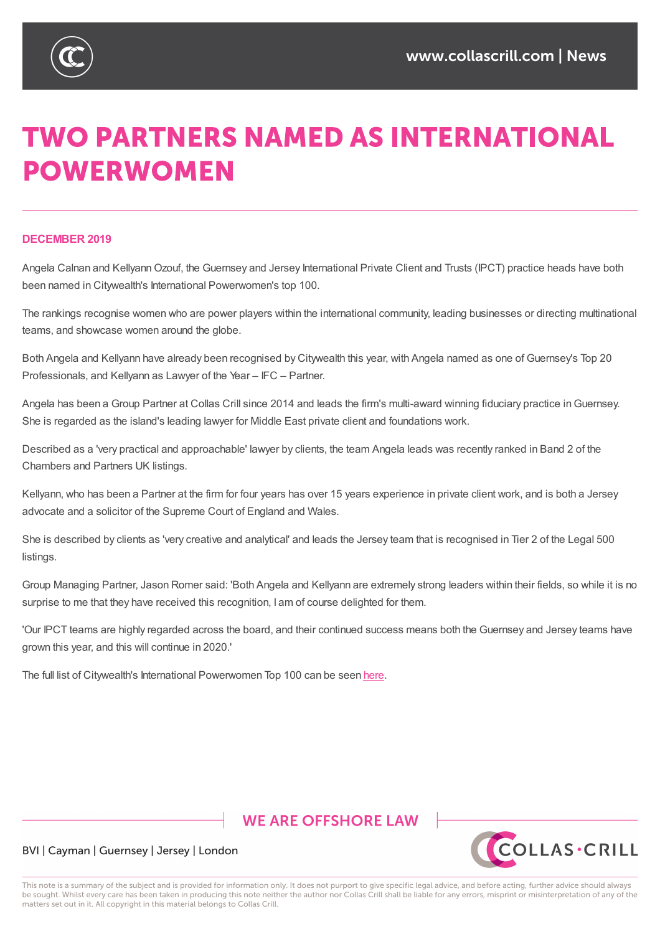

# **TWO PARTNERS NAMED AS INTERNATIONAL POWERWOMEN**

### **DECEMBER 2019**

Angela Calnan and KellyannOzouf, the Guernsey and Jersey International Private Client and Trusts (IPCT) practice heads have both been named in Citywealth's International Powerwomen's top 100.

The rankings recognise women who are power players within the international community, leading businesses or directing multinational teams, and showcase women around the globe.

Both Angela and Kellyann have already been recognised by Citywealth this year, with Angela named as one of Guernsey's Top 20 Professionals, and Kellyann as Lawyer of the Year – IFC – Partner.

Angela has been a Group Partner at Collas Crill since 2014 and leads the firm's multi-award winning fiduciary practice in Guernsey. She is regarded as the island's leading lawyer for Middle East private client and foundations work.

Described as a 'very practical and approachable' lawyer by clients, the team Angela leads was recently ranked in Band 2 of the Chambers and Partners UK listings.

Kellyann, who has been a Partner at the firm for four years has over 15 years experience in private client work, and is both a Jersey advocate and a solicitor of the Supreme Court of England and Wales.

She is described by clients as 'very creative and analytical' and leads the Jersey team that is recognised in Tier 2 of the Legal 500 listings.

Group Managing Partner, Jason Romer said: 'Both Angela and Kellyann are extremely strong leaders within their fields, so while it is no surprise to me that they have received this recognition, I am of course delighted for them.

'Our IPCT teams are highly regarded across the board, and their continued success means both the Guernsey and Jersey teams have grown this year, and this will continue in 2020.'

The full list of Citywealth's International Powerwomen Top 100 can be seen here.

## **WE ARE OFFSHORE LAW**



## BVI | Cayman | Guernsey | Jersey | London

This note is a summary of the subject and is provided for information only. It does not purport to give specific legal advice, and before acting, further advice should always be sought. Whilst every care has been taken in producing this note neither the author nor Collas Crill shall be liable for any errors, misprint or misinterpretation of any of the matters set out in it. All copyright in this material belongs to Collas Crill.